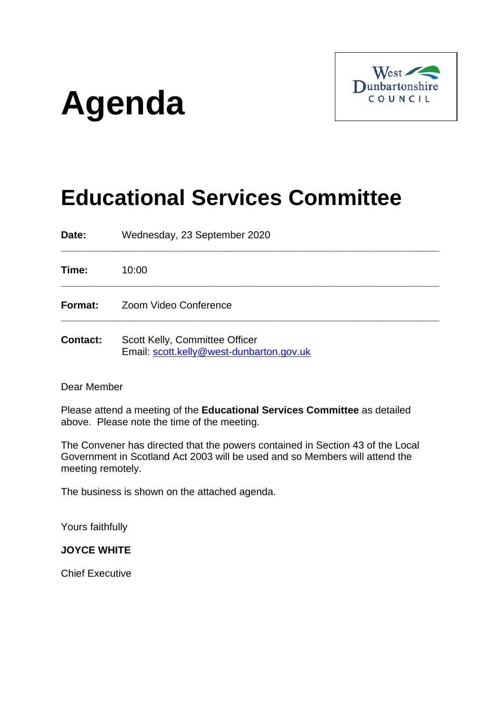# **Agenda**



# **Educational Services Committee**

**\_\_\_\_\_\_\_\_\_\_\_\_\_\_\_\_\_\_\_\_\_\_\_\_\_\_\_\_\_\_\_\_\_\_\_\_\_\_\_\_\_\_\_\_\_\_\_\_\_\_\_\_\_\_\_\_\_\_\_\_\_\_\_\_\_\_\_**

**\_\_\_\_\_\_\_\_\_\_\_\_\_\_\_\_\_\_\_\_\_\_\_\_\_\_\_\_\_\_\_\_\_\_\_\_\_\_\_\_\_\_\_\_\_\_\_\_\_\_\_\_\_\_\_\_\_\_\_\_\_\_\_\_\_\_\_**

**\_\_\_\_\_\_\_\_\_\_\_\_\_\_\_\_\_\_\_\_\_\_\_\_\_\_\_\_\_\_\_\_\_\_\_\_\_\_\_\_\_\_\_\_\_\_\_\_\_\_\_\_\_\_\_\_\_\_\_\_\_\_\_\_\_\_\_**

**Date:** Wednesday, 23 September 2020

**Time:** 10:00

**Format:** Zoom Video Conference

**Contact:** Scott Kelly, Committee Officer Email: [scott.kelly@west-dunbarton.gov.uk](mailto:scott.kelly@west-dunbarton.gov.uk)

Dear Member

Please attend a meeting of the **Educational Services Committee** as detailed above. Please note the time of the meeting.

The Convener has directed that the powers contained in Section 43 of the Local Government in Scotland Act 2003 will be used and so Members will attend the meeting remotely.

The business is shown on the attached agenda.

Yours faithfully

#### **JOYCE WHITE**

Chief Executive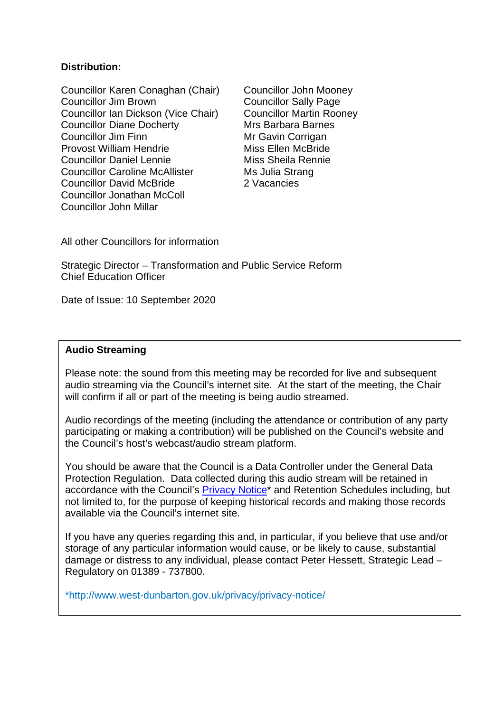#### **Distribution:**

Councillor Karen Conaghan (Chair) Councillor John Mooney Councillor Jim Brown Councillor Sally Page Councillor Ian Dickson (Vice Chair) Councillor Martin Rooney Councillor Diane Docherty Mrs Barbara Barnes Councillor Jim Finn Mr Gavin Corrigan Provost William Hendrie Miss Ellen McBride Councillor Daniel Lennie Miss Sheila Rennie Councillor Caroline McAllister Ms Julia Strang Councillor David McBride 2 Vacancies Councillor Jonathan McColl Councillor John Millar

All other Councillors for information

Strategic Director – Transformation and Public Service Reform Chief Education Officer

Date of Issue: 10 September 2020

#### **Audio Streaming**

Please note: the sound from this meeting may be recorded for live and subsequent audio streaming via the Council's internet site. At the start of the meeting, the Chair will confirm if all or part of the meeting is being audio streamed.

Audio recordings of the meeting (including the attendance or contribution of any party participating or making a contribution) will be published on the Council's website and the Council's host's webcast/audio stream platform.

You should be aware that the Council is a Data Controller under the General Data Protection Regulation. Data collected during this audio stream will be retained in accordance with the Council's [Privacy Notice\\*](http://www.west-dunbarton.gov.uk/privacy/privacy-notice/) and Retention Schedules including, but not limited to, for the purpose of keeping historical records and making those records available via the Council's internet site.

If you have any queries regarding this and, in particular, if you believe that use and/or storage of any particular information would cause, or be likely to cause, substantial damage or distress to any individual, please contact Peter Hessett, Strategic Lead – Regulatory on 01389 - 737800.

\*http://www.west-dunbarton.gov.uk/privacy/privacy-notice/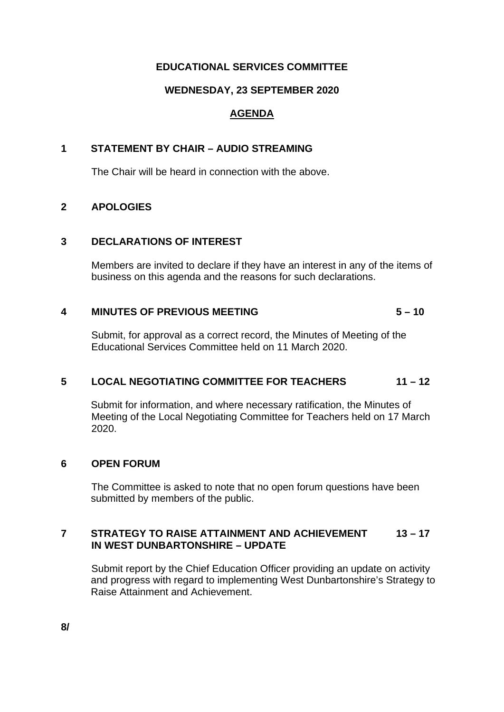# **EDUCATIONAL SERVICES COMMITTEE**

# **WEDNESDAY, 23 SEPTEMBER 2020**

# **AGENDA**

### **1 STATEMENT BY CHAIR – AUDIO STREAMING**

The Chair will be heard in connection with the above.

# **2 APOLOGIES**

#### **3 DECLARATIONS OF INTEREST**

Members are invited to declare if they have an interest in any of the items of business on this agenda and the reasons for such declarations.

# **4 MINUTES OF PREVIOUS MEETING 5 – 10**

Submit, for approval as a correct record, the Minutes of Meeting of the Educational Services Committee held on 11 March 2020.

# **5 LOCAL NEGOTIATING COMMITTEE FOR TEACHERS 11 – 12**

Submit for information, and where necessary ratification, the Minutes of Meeting of the Local Negotiating Committee for Teachers held on 17 March 2020.

#### **6 OPEN FORUM**

The Committee is asked to note that no open forum questions have been submitted by members of the public.

# **7 STRATEGY TO RAISE ATTAINMENT AND ACHIEVEMENT 13 – 17 IN WEST DUNBARTONSHIRE – UPDATE**

Submit report by the Chief Education Officer providing an update on activity and progress with regard to implementing West Dunbartonshire's Strategy to Raise Attainment and Achievement.